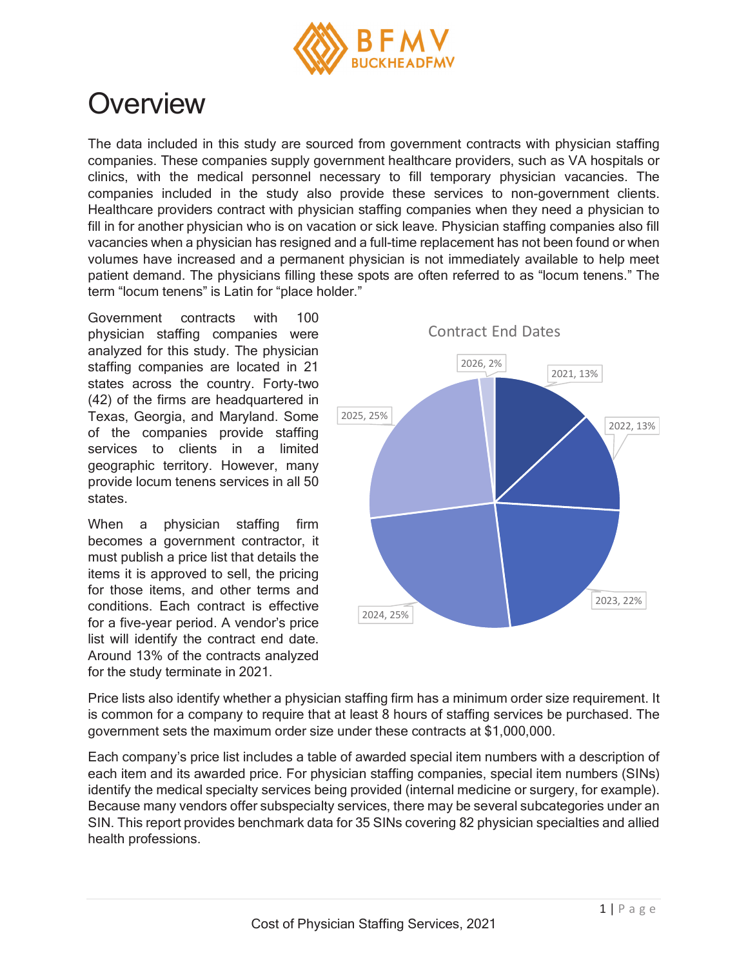

## **Overview**

The data included in this study are sourced from government contracts with physician staffing companies. These companies supply government healthcare providers, such as VA hospitals or clinics, with the medical personnel necessary to fill temporary physician vacancies. The companies included in the study also provide these services to non-government clients. Healthcare providers contract with physician staffing companies when they need a physician to fill in for another physician who is on vacation or sick leave. Physician staffing companies also fill vacancies when a physician has resigned and a full-time replacement has not been found or when volumes have increased and a permanent physician is not immediately available to help meet patient demand. The physicians filling these spots are often referred to as "locum tenens." The term "locum tenens" is Latin for "place holder."

Government contracts with 100 physician staffing companies were analyzed for this study. The physician staffing companies are located in 21 states across the country. Forty-two (42) of the firms are headquartered in Texas, Georgia, and Maryland. Some of the companies provide staffing services to clients in a limited geographic territory. However, many provide locum tenens services in all 50 states.

When a physician staffing firm becomes a government contractor, it must publish a price list that details the items it is approved to sell, the pricing for those items, and other terms and conditions. Each contract is effective for a five-year period. A vendor's price list will identify the contract end date. Around 13% of the contracts analyzed for the study terminate in 2021.



Price lists also identify whether a physician staffing firm has a minimum order size requirement. It is common for a company to require that at least 8 hours of staffing services be purchased. The government sets the maximum order size under these contracts at \$1,000,000.

Each company's price list includes a table of awarded special item numbers with a description of each item and its awarded price. For physician staffing companies, special item numbers (SINs) identify the medical specialty services being provided (internal medicine or surgery, for example). Because many vendors offer subspecialty services, there may be several subcategories under an SIN. This report provides benchmark data for 35 SINs covering 82 physician specialties and allied health professions.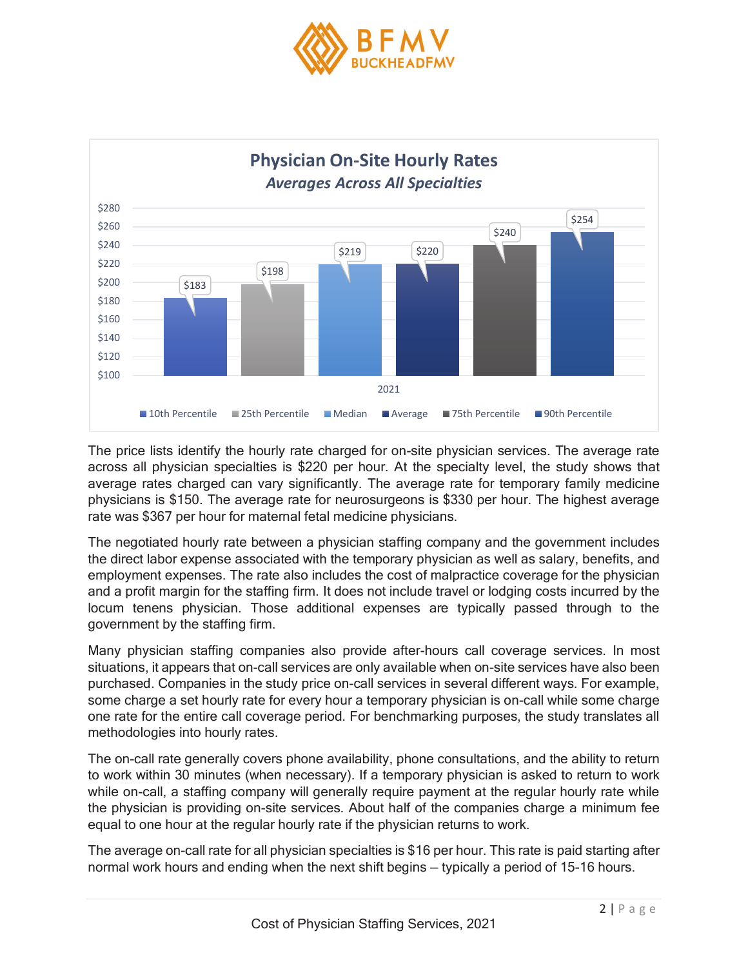



The price lists identify the hourly rate charged for on-site physician services. The average rate across all physician specialties is \$220 per hour. At the specialty level, the study shows that average rates charged can vary significantly. The average rate for temporary family medicine physicians is \$150. The average rate for neurosurgeons is \$330 per hour. The highest average rate was \$367 per hour for maternal fetal medicine physicians.

The negotiated hourly rate between a physician staffing company and the government includes the direct labor expense associated with the temporary physician as well as salary, benefits, and employment expenses. The rate also includes the cost of malpractice coverage for the physician and a profit margin for the staffing firm. It does not include travel or lodging costs incurred by the locum tenens physician. Those additional expenses are typically passed through to the government by the staffing firm.

Many physician staffing companies also provide after-hours call coverage services. In most situations, it appears that on-call services are only available when on-site services have also been purchased. Companies in the study price on-call services in several different ways. For example, some charge a set hourly rate for every hour a temporary physician is on-call while some charge one rate for the entire call coverage period. For benchmarking purposes, the study translates all methodologies into hourly rates.

The on-call rate generally covers phone availability, phone consultations, and the ability to return to work within 30 minutes (when necessary). If a temporary physician is asked to return to work while on-call, a staffing company will generally require payment at the regular hourly rate while the physician is providing on-site services. About half of the companies charge a minimum fee equal to one hour at the regular hourly rate if the physician returns to work.

The average on-call rate for all physician specialties is \$16 per hour. This rate is paid starting after normal work hours and ending when the next shift begins — typically a period of 15-16 hours.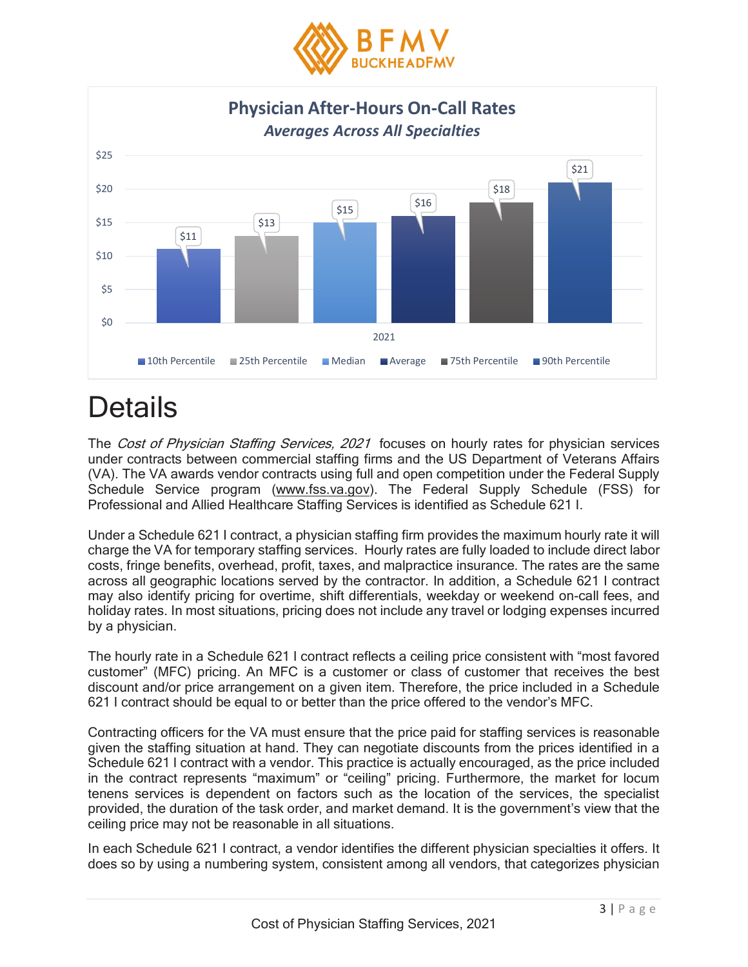



## **Details**

The Cost of Physician Staffing Services, 2021 focuses on hourly rates for physician services under contracts between commercial staffing firms and the US Department of Veterans Affairs (VA). The VA awards vendor contracts using full and open competition under the Federal Supply Schedule Service program (www.fss.va.gov). The Federal Supply Schedule (FSS) for Professional and Allied Healthcare Staffing Services is identified as Schedule 621 I.

Under a Schedule 621 I contract, a physician staffing firm provides the maximum hourly rate it will charge the VA for temporary staffing services. Hourly rates are fully loaded to include direct labor costs, fringe benefits, overhead, profit, taxes, and malpractice insurance. The rates are the same across all geographic locations served by the contractor. In addition, a Schedule 621 I contract may also identify pricing for overtime, shift differentials, weekday or weekend on-call fees, and holiday rates. In most situations, pricing does not include any travel or lodging expenses incurred by a physician.

The hourly rate in a Schedule 621 I contract reflects a ceiling price consistent with "most favored customer" (MFC) pricing. An MFC is a customer or class of customer that receives the best discount and/or price arrangement on a given item. Therefore, the price included in a Schedule 621 I contract should be equal to or better than the price offered to the vendor's MFC.

Contracting officers for the VA must ensure that the price paid for staffing services is reasonable given the staffing situation at hand. They can negotiate discounts from the prices identified in a Schedule 621 I contract with a vendor. This practice is actually encouraged, as the price included in the contract represents "maximum" or "ceiling" pricing. Furthermore, the market for locum tenens services is dependent on factors such as the location of the services, the specialist provided, the duration of the task order, and market demand. It is the government's view that the ceiling price may not be reasonable in all situations.

In each Schedule 621 I contract, a vendor identifies the different physician specialties it offers. It does so by using a numbering system, consistent among all vendors, that categorizes physician